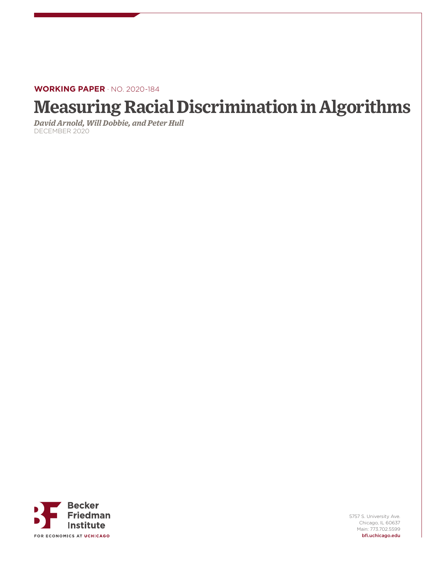**WORKING PAPER** · NO. 2020-184

# **Measuring Racial Discrimination in Algorithms**

*David Arnold, Will Dobbie, and Peter Hull* DECEMBER 2020



5757 S. University Ave. Chicago, IL 60637 Main: 773.702.5599 bfi.uchicago.edu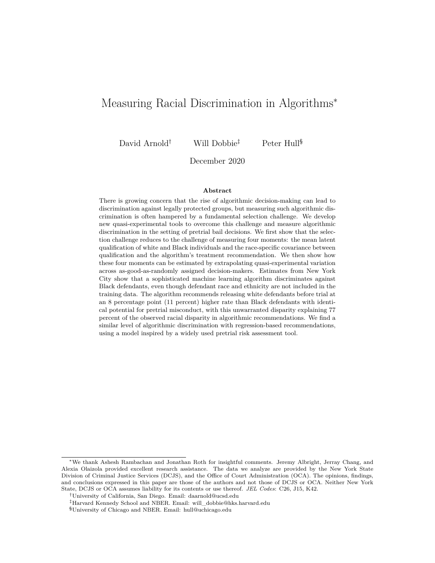## Measuring Racial Discrimination in Algorithms<sup>∗</sup>

David Arnold<sup>†</sup> Will Dobbie<sup>‡</sup> Peter Hull<sup>§</sup>

December 2020

#### **Abstract**

There is growing concern that the rise of algorithmic decision-making can lead to discrimination against legally protected groups, but measuring such algorithmic discrimination is often hampered by a fundamental selection challenge. We develop new quasi-experimental tools to overcome this challenge and measure algorithmic discrimination in the setting of pretrial bail decisions. We first show that the selection challenge reduces to the challenge of measuring four moments: the mean latent qualification of white and Black individuals and the race-specific covariance between qualification and the algorithm's treatment recommendation. We then show how these four moments can be estimated by extrapolating quasi-experimental variation across as-good-as-randomly assigned decision-makers. Estimates from New York City show that a sophisticated machine learning algorithm discriminates against Black defendants, even though defendant race and ethnicity are not included in the training data. The algorithm recommends releasing white defendants before trial at an 8 percentage point (11 percent) higher rate than Black defendants with identical potential for pretrial misconduct, with this unwarranted disparity explaining 77 percent of the observed racial disparity in algorithmic recommendations. We find a similar level of algorithmic discrimination with regression-based recommendations, using a model inspired by a widely used pretrial risk assessment tool.

<sup>∗</sup>We thank Ashesh Rambachan and Jonathan Roth for insightful comments. Jeremy Albright, Jerray Chang, and Alexia Olaizola provided excellent research assistance. The data we analyze are provided by the New York State Division of Criminal Justice Services (DCJS), and the Office of Court Administration (OCA). The opinions, findings, and conclusions expressed in this paper are those of the authors and not those of DCJS or OCA. Neither New York State, DCJS or OCA assumes liability for its contents or use thereof. *JEL Codes*: C26, J15, K42.

<sup>†</sup>University of California, San Diego. Email: daarnold@ucsd.edu

<sup>‡</sup>Harvard Kennedy School and NBER. Email: will\_dobbie@hks.harvard.edu

<sup>§</sup>University of Chicago and NBER. Email: hull@uchicago.edu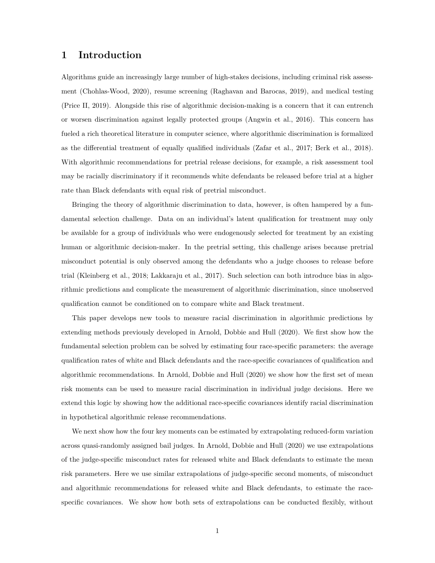## **1 Introduction**

Algorithms guide an increasingly large number of high-stakes decisions, including criminal risk assessment [\(Chohlas-Wood,](#page-14-0) [2020\)](#page-14-0), resume screening [\(Raghavan and Barocas,](#page-15-0) [2019\)](#page-15-0), and medical testing [\(Price II,](#page-15-1) [2019\)](#page-15-1). Alongside this rise of algorithmic decision-making is a concern that it can entrench or worsen discrimination against legally protected groups [\(Angwin et al.,](#page-14-1) [2016\)](#page-14-1). This concern has fueled a rich theoretical literature in computer science, where algorithmic discrimination is formalized as the differential treatment of equally qualified individuals [\(Zafar et al.,](#page-15-2) [2017;](#page-15-2) [Berk et al.,](#page-14-2) [2018\)](#page-14-2). With algorithmic recommendations for pretrial release decisions, for example, a risk assessment tool may be racially discriminatory if it recommends white defendants be released before trial at a higher rate than Black defendants with equal risk of pretrial misconduct.

Bringing the theory of algorithmic discrimination to data, however, is often hampered by a fundamental selection challenge. Data on an individual's latent qualification for treatment may only be available for a group of individuals who were endogenously selected for treatment by an existing human or algorithmic decision-maker. In the pretrial setting, this challenge arises because pretrial misconduct potential is only observed among the defendants who a judge chooses to release before trial [\(Kleinberg et al.,](#page-15-3) [2018;](#page-15-3) [Lakkaraju et al.,](#page-15-4) [2017\)](#page-15-4). Such selection can both introduce bias in algorithmic predictions and complicate the measurement of algorithmic discrimination, since unobserved qualification cannot be conditioned on to compare white and Black treatment.

This paper develops new tools to measure racial discrimination in algorithmic predictions by extending methods previously developed in [Arnold, Dobbie and Hull](#page-14-3) [\(2020\)](#page-14-3). We first show how the fundamental selection problem can be solved by estimating four race-specific parameters: the average qualification rates of white and Black defendants and the race-specific covariances of qualification and algorithmic recommendations. In [Arnold, Dobbie and Hull](#page-14-3) [\(2020\)](#page-14-3) we show how the first set of mean risk moments can be used to measure racial discrimination in individual judge decisions. Here we extend this logic by showing how the additional race-specific covariances identify racial discrimination in hypothetical algorithmic release recommendations.

We next show how the four key moments can be estimated by extrapolating reduced-form variation across quasi-randomly assigned bail judges. In [Arnold, Dobbie and Hull](#page-14-3) [\(2020\)](#page-14-3) we use extrapolations of the judge-specific misconduct rates for released white and Black defendants to estimate the mean risk parameters. Here we use similar extrapolations of judge-specific second moments, of misconduct and algorithmic recommendations for released white and Black defendants, to estimate the racespecific covariances. We show how both sets of extrapolations can be conducted flexibly, without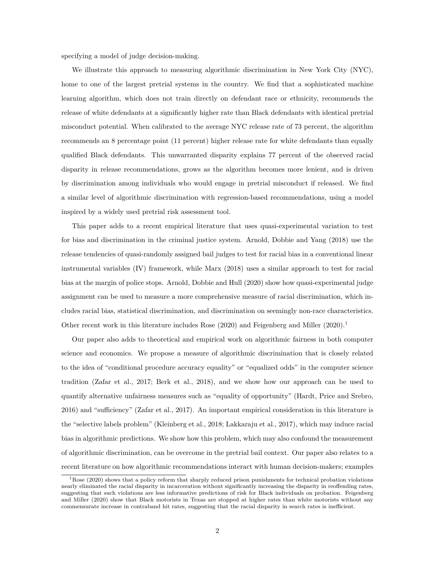specifying a model of judge decision-making.

We illustrate this approach to measuring algorithmic discrimination in New York City (NYC), home to one of the largest pretrial systems in the country. We find that a sophisticated machine learning algorithm, which does not train directly on defendant race or ethnicity, recommends the release of white defendants at a significantly higher rate than Black defendants with identical pretrial misconduct potential. When calibrated to the average NYC release rate of 73 percent, the algorithm recommends an 8 percentage point (11 percent) higher release rate for white defendants than equally qualified Black defendants. This unwarranted disparity explains 77 percent of the observed racial disparity in release recommendations, grows as the algorithm becomes more lenient, and is driven by discrimination among individuals who would engage in pretrial misconduct if released. We find a similar level of algorithmic discrimination with regression-based recommendations, using a model inspired by a widely used pretrial risk assessment tool.

This paper adds to a recent empirical literature that uses quasi-experimental variation to test for bias and discrimination in the criminal justice system. [Arnold, Dobbie and Yang](#page-14-4) [\(2018\)](#page-14-4) use the release tendencies of quasi-randomly assigned bail judges to test for racial bias in a conventional linear instrumental variables (IV) framework, while [Marx](#page-15-5) [\(2018\)](#page-15-5) uses a similar approach to test for racial bias at the margin of police stops. [Arnold, Dobbie and Hull](#page-14-3) [\(2020\)](#page-14-3) show how quasi-experimental judge assignment can be used to measure a more comprehensive measure of racial discrimination, which includes racial bias, statistical discrimination, and discrimination on seemingly non-race characteristics. Other recent work in this literature includes [Rose](#page-15-6) [\(2020\)](#page-14-5) and [Feigenberg and Miller](#page-14-5) (2020).<sup>[1](#page-3-0)</sup>

Our paper also adds to theoretical and empirical work on algorithmic fairness in both computer science and economics. We propose a measure of algorithmic discrimination that is closely related to the idea of "conditional procedure accuracy equality" or "equalized odds" in the computer science tradition [\(Zafar et al.,](#page-15-2) [2017;](#page-15-2) [Berk et al.,](#page-14-2) [2018\)](#page-14-2), and we show how our approach can be used to quantify alternative unfairness measures such as "equality of opportunity" [\(Hardt, Price and Srebro,](#page-14-6) [2016\)](#page-14-6) and "sufficiency" [\(Zafar et al.,](#page-15-2) [2017\)](#page-15-2). An important empirical consideration in this literature is the "selective labels problem" [\(Kleinberg et al.,](#page-15-3) [2018;](#page-15-3) [Lakkaraju et al.,](#page-15-4) [2017\)](#page-15-4), which may induce racial bias in algorithmic predictions. We show how this problem, which may also confound the measurement of algorithmic discrimination, can be overcome in the pretrial bail context. Our paper also relates to a recent literature on how algorithmic recommendations interact with human decision-makers; examples

<span id="page-3-0"></span> $1$ [Rose](#page-15-6) [\(2020\)](#page-15-6) shows that a policy reform that sharply reduced prison punishments for technical probation violations nearly eliminated the racial disparity in incarceration without significantly increasing the disparity in reoffending rates, suggesting that such violations are less informative predictions of risk for Black individuals on probation. [Feigenberg](#page-14-5) [and Miller](#page-14-5) [\(2020\)](#page-14-5) show that Black motorists in Texas are stopped at higher rates than white motorists without any commensurate increase in contraband hit rates, suggesting that the racial disparity in search rates is inefficient.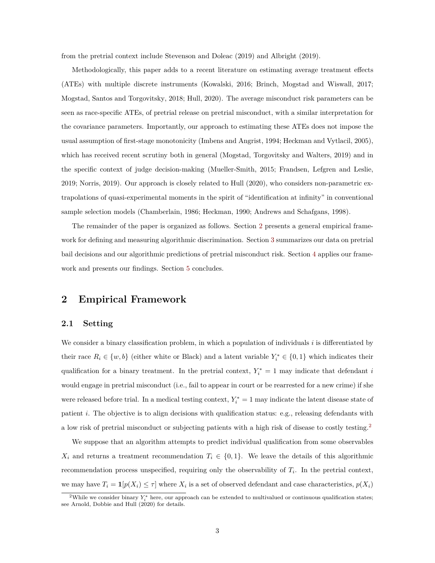from the pretrial context include [Stevenson and Doleac](#page-15-7) [\(2019\)](#page-15-7) and [Albright](#page-14-7) [\(2019\)](#page-14-7).

Methodologically, this paper adds to a recent literature on estimating average treatment effects (ATEs) with multiple discrete instruments [\(Kowalski,](#page-15-8) [2016;](#page-15-8) [Brinch, Mogstad and Wiswall,](#page-14-8) [2017;](#page-14-8) [Mogstad, Santos and Torgovitsky,](#page-15-9) [2018;](#page-15-9) [Hull,](#page-15-10) [2020\)](#page-15-10). The average misconduct risk parameters can be seen as race-specific ATEs, of pretrial release on pretrial misconduct, with a similar interpretation for the covariance parameters. Importantly, our approach to estimating these ATEs does not impose the usual assumption of first-stage monotonicity [\(Imbens and Angrist,](#page-15-11) [1994;](#page-15-11) [Heckman and Vytlacil,](#page-14-9) [2005\)](#page-14-9), which has received recent scrutiny both in general [\(Mogstad, Torgovitsky and Walters,](#page-15-12) [2019\)](#page-15-12) and in the specific context of judge decision-making [\(Mueller-Smith,](#page-15-13) [2015;](#page-15-13) [Frandsen, Lefgren and Leslie,](#page-14-10) [2019;](#page-14-10) [Norris,](#page-15-14) [2019\)](#page-15-14). Our approach is closely related to [Hull](#page-15-10) [\(2020\)](#page-15-10), who considers non-parametric extrapolations of quasi-experimental moments in the spirit of "identification at infinity" in conventional sample selection models [\(Chamberlain,](#page-14-11) [1986;](#page-14-11) [Heckman,](#page-14-12) [1990;](#page-14-12) [Andrews and Schafgans,](#page-14-13) [1998\)](#page-14-13).

The remainder of the paper is organized as follows. Section [2](#page-4-0) presents a general empirical framework for defining and measuring algorithmic discrimination. Section [3](#page-8-0) summarizes our data on pretrial bail decisions and our algorithmic predictions of pretrial misconduct risk. Section [4](#page-10-0) applies our framework and presents our findings. Section [5](#page-13-0) concludes.

## <span id="page-4-0"></span>**2 Empirical Framework**

#### **2.1 Setting**

We consider a binary classification problem, in which a population of individuals *i* is differentiated by their race  $R_i \in \{w, b\}$  (either white or Black) and a latent variable  $Y_i^* \in \{0, 1\}$  which indicates their qualification for a binary treatment. In the pretrial context,  $Y_i^* = 1$  may indicate that defendant *i* would engage in pretrial misconduct (i.e., fail to appear in court or be rearrested for a new crime) if she were released before trial. In a medical testing context,  $Y_i^* = 1$  may indicate the latent disease state of patient *i*. The objective is to align decisions with qualification status: e.g., releasing defendants with a low risk of pretrial misconduct or subjecting patients with a high risk of disease to costly testing.[2](#page-4-1)

We suppose that an algorithm attempts to predict individual qualification from some observables  $X_i$  and returns a treatment recommendation  $T_i \in \{0,1\}$ . We leave the details of this algorithmic recommendation process unspecified, requiring only the observability of *T<sup>i</sup>* . In the pretrial context, we may have  $T_i = \mathbf{1}[p(X_i) \leq \tau]$  where  $X_i$  is a set of observed defendant and case characteristics,  $p(X_i)$ 

<span id="page-4-1"></span><sup>&</sup>lt;sup>2</sup>While we consider binary  $Y_i^*$  here, our approach can be extended to multivalued or continuous qualification states; see [Arnold, Dobbie and Hull](#page-14-3) [\(2020\)](#page-14-3) for details.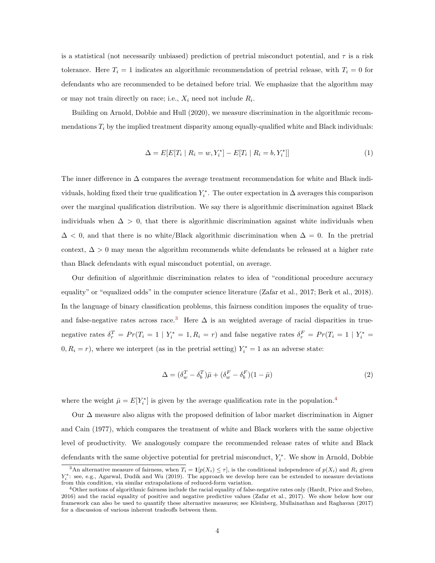is a statistical (not necessarily unbiased) prediction of pretrial misconduct potential, and  $\tau$  is a risk tolerance. Here  $T_i = 1$  indicates an algorithmic recommendation of pretrial release, with  $T_i = 0$  for defendants who are recommended to be detained before trial. We emphasize that the algorithm may or may not train directly on race; i.e., *X<sup>i</sup>* need not include *R<sup>i</sup>* .

Building on [Arnold, Dobbie and Hull](#page-14-3) [\(2020\)](#page-14-3), we measure discrimination in the algorithmic recommendations  $T_i$  by the implied treatment disparity among equally-qualified white and Black individuals:

$$
\Delta = E[E[T_i \mid R_i = w, Y_i^*] - E[T_i \mid R_i = b, Y_i^*]] \tag{1}
$$

The inner difference in  $\Delta$  compares the average treatment recommendation for white and Black individuals, holding fixed their true qualification  $Y_i^*$ . The outer expectation in  $\Delta$  averages this comparison over the marginal qualification distribution. We say there is algorithmic discrimination against Black individuals when  $\Delta > 0$ , that there is algorithmic discrimination against white individuals when  $\Delta$  < 0, and that there is no white/Black algorithmic discrimination when  $\Delta = 0$ . In the pretrial context,  $\Delta > 0$  may mean the algorithm recommends white defendants be released at a higher rate than Black defendants with equal misconduct potential, on average.

Our definition of algorithmic discrimination relates to idea of "conditional procedure accuracy equality" or "equalized odds" in the computer science literature [\(Zafar et al.,](#page-15-2) [2017;](#page-15-2) [Berk et al.,](#page-14-2) [2018\)](#page-14-2). In the language of binary classification problems, this fairness condition imposes the equality of true-and false-negative rates across race.<sup>[3](#page-5-0)</sup> Here  $\Delta$  is an weighted average of racial disparities in truenegative rates  $\delta_r^T = Pr(T_i = 1 | Y_i^* = 1, R_i = r)$  and false negative rates  $\delta_r^F = Pr(T_i = 1 | Y_i^* = 1)$  $(0, R_i = r)$ , where we interpret (as in the pretrial setting)  $Y_i^* = 1$  as an adverse state:

<span id="page-5-2"></span>
$$
\Delta = (\delta_w^T - \delta_b^T)\bar{\mu} + (\delta_w^F - \delta_b^F)(1 - \bar{\mu})\tag{2}
$$

where the weight  $\bar{\mu} = E[Y_i^*]$  is given by the average qualification rate in the population.<sup>[4](#page-5-1)</sup>

Our  $\Delta$  measure also aligns with the proposed definition of labor market discrimination in [Aigner](#page-14-14) [and Cain](#page-14-14) [\(1977\)](#page-14-14), which compares the treatment of white and Black workers with the same objective level of productivity. We analogously compare the recommended release rates of white and Black defendants with the same objective potential for pretrial misconduct,  $Y_i^*$ . We show in [Arnold, Dobbie](#page-14-3)

<span id="page-5-0"></span><sup>&</sup>lt;sup>3</sup>[An alternative measure of fairness, when](#page-14-3)  $T_i = \mathbf{1}[p(X_i) \leq \tau]$ , is the conditional independence of  $p(X_i)$  and  $R_i$  given *Y*<sup>\*</sup><sub>*i*</sub> see, e.g., [Agarwal, Dudik and Wu](#page-14-15) [\(2019\). The approach we develop here can be extended to measure deviations](#page-14-3) [from this condition, via similar extrapolations of reduced-form variation.](#page-14-3)

<span id="page-5-1"></span><sup>4</sup>[Other notions of algorithmic fairness include the racial equality of false-negative rates only \(Hardt, Price and Srebro,](#page-14-3) [2016\) and the racial equality of positive and negative predictive values \(Zafar et al.,](#page-14-3) [2017\)](#page-15-2). We show below how our [framework can also be used to quantify these alternative measures; see](#page-14-3) [Kleinberg, Mullainathan and Raghavan](#page-15-15) [\(2017\)](#page-15-15) [for a discussion of various inherent tradeoffs between them.](#page-14-3)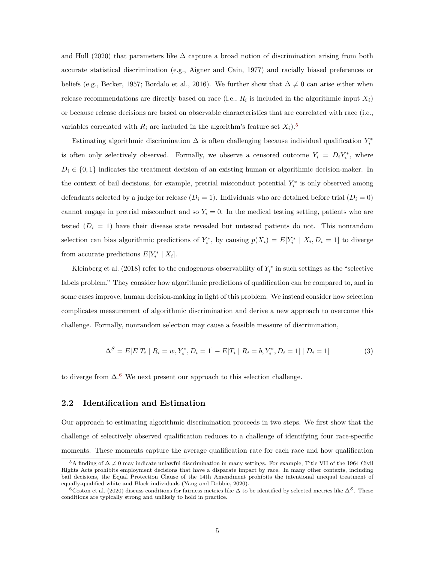[and Hull](#page-14-3) [\(2020\)](#page-14-3) that parameters like  $\Delta$  capture a broad notion of discrimination arising from both accurate statistical discrimination (e.g., [Aigner and Cain,](#page-14-14) [1977\)](#page-14-14) and racially biased preferences or beliefs (e.g., [Becker,](#page-14-16) [1957;](#page-14-16) [Bordalo et al.,](#page-14-17) [2016\)](#page-14-17). We further show that  $\Delta \neq 0$  can arise either when release recommendations are directly based on race (i.e.,  $R_i$  is included in the algorithmic input  $X_i$ ) or because release decisions are based on observable characteristics that are correlated with race (i.e., variables correlated with  $R_i$  are included in the algorithm's feature set  $X_i$ ).<sup>[5](#page-6-0)</sup>

Estimating algorithmic discrimination  $\Delta$  is often challenging because individual qualification  $Y_i^*$ is often only selectively observed. Formally, we observe a censored outcome  $Y_i = D_i Y_i^*$ , where  $D_i \in \{0,1\}$  indicates the treatment decision of an existing human or algorithmic decision-maker. In the context of bail decisions, for example, pretrial misconduct potential  $Y_i^*$  is only observed among defendants selected by a judge for release  $(D<sub>i</sub> = 1)$ . Individuals who are detained before trial  $(D<sub>i</sub> = 0)$ cannot engage in pretrial misconduct and so  $Y_i = 0$ . In the medical testing setting, patients who are tested  $(D<sub>i</sub> = 1)$  have their disease state revealed but untested patients do not. This nonrandom selection can bias algorithmic predictions of  $Y_i^*$ , by causing  $p(X_i) = E[Y_i^* | X_i, D_i = 1]$  to diverge from accurate predictions  $E[Y_i^* | X_i]$ .

[Kleinberg et al.](#page-15-3) [\(2018\)](#page-15-3) refer to the endogenous observability of  $Y_i^*$  in such settings as the "selective" labels problem." They consider how algorithmic predictions of qualification can be compared to, and in some cases improve, human decision-making in light of this problem. We instead consider how selection complicates measurement of algorithmic discrimination and derive a new approach to overcome this challenge. Formally, nonrandom selection may cause a feasible measure of discrimination,

<span id="page-6-2"></span>
$$
\Delta^{S} = E[E[T_i \mid R_i = w, Y_i^*, D_i = 1] - E[T_i \mid R_i = b, Y_i^*, D_i = 1] \mid D_i = 1]
$$
\n(3)

to diverge from  $\Delta$ .<sup>[6](#page-6-1)</sup> We next present our approach to this selection challenge.

#### **2.2 Identification and Estimation**

Our approach to estimating algorithmic discrimination proceeds in two steps. We first show that the challenge of selectively observed qualification reduces to a challenge of identifying four race-specific moments. These moments capture the average qualification rate for each race and how qualification

<span id="page-6-0"></span><sup>&</sup>lt;sup>5</sup>A finding of  $\Delta \neq 0$  may indicate unlawful discrimination in many settings. For example, Title VII of the 1964 Civil Rights Acts prohibits employment decisions that have a disparate impact by race. In many other contexts, including bail decisions, the Equal Protection Clause of the 14th Amendment prohibits the intentional unequal treatment of equally-qualified white and Black individuals [\(Yang and Dobbie,](#page-15-16) [2020\)](#page-15-16).

<span id="page-6-1"></span><sup>6</sup>[Coston et al.](#page-14-18) [\(2020\)](#page-14-18) discuss conditions for fairness metrics like ∆ to be identified by selected metrics like ∆*S*. These conditions are typically strong and unlikely to hold in practice.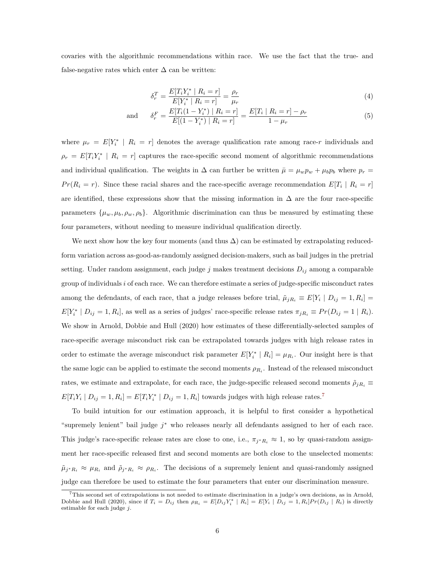covaries with the algorithmic recommendations within race. We use the fact that the true- and false-negative rates which enter  $\Delta$  can be written:

<span id="page-7-2"></span><span id="page-7-1"></span>
$$
\delta_r^T = \frac{E[T_i Y_i^* \mid R_i = r]}{E[Y_i^* \mid R_i = r]} = \frac{\rho_r}{\mu_r}
$$
\n(4)

and 
$$
\delta_r^F = \frac{E[T_i(1 - Y_i^*) \mid R_i = r]}{E[(1 - Y_i^*) \mid R_i = r]} = \frac{E[T_i \mid R_i = r] - \rho_r}{1 - \mu_r}
$$
(5)

where  $\mu_r = E[Y_i^* \mid R_i = r]$  denotes the average qualification rate among race-*r* individuals and  $\rho_r = E[T_i Y_i^* \mid R_i = r]$  captures the race-specific second moment of algorithmic recommendations and individual qualification. The weights in  $\Delta$  can further be written  $\bar{\mu} = \mu_w p_w + \mu_b p_b$  where  $p_r =$  $Pr(R_i = r)$ . Since these racial shares and the race-specific average recommendation  $E[T_i \mid R_i = r]$ are identified, these expressions show that the missing information in  $\Delta$  are the four race-specific parameters  $\{\mu_w, \mu_b, \rho_w, \rho_b\}$ . Algorithmic discrimination can thus be measured by estimating these four parameters, without needing to measure individual qualification directly.

We next show how the key four moments (and thus  $\Delta$ ) can be estimated by extrapolating reducedform variation across as-good-as-randomly assigned decision-makers, such as bail judges in the pretrial setting. Under random assignment, each judge *j* makes treatment decisions *Dij* among a comparable group of individuals *i* of each race. We can therefore estimate a series of judge-specific misconduct rates among the defendants, of each race, that a judge releases before trial,  $\tilde{\mu}_{jR_i} \equiv E[Y_i \mid D_{ij} = 1, R_i] =$  $E[Y_i^* | D_{ij} = 1, R_i]$ , as well as a series of judges' race-specific release rates  $\pi_{jR_i} \equiv Pr(D_{ij} = 1 | R_i)$ . We show in [Arnold, Dobbie and Hull](#page-14-3) [\(2020\)](#page-14-3) how estimates of these differentially-selected samples of race-specific average misconduct risk can be extrapolated towards judges with high release rates in order to estimate the average misconduct risk parameter  $E[Y_i^* | R_i] = \mu_{R_i}$ . Our insight here is that the same logic can be applied to estimate the second moments  $\rho_{R_i}$ . Instead of the released misconduct rates, we estimate and extrapolate, for each race, the judge-specific released second moments  $\tilde{\rho}_{jR_i}$  $E[T_iY_i \mid D_{ij} = 1, R_i] = E[T_iY_i^* \mid D_{ij} = 1, R_i]$  towards judges with high release rates.<sup>[7](#page-7-0)</sup>

To build intuition for our estimation approach, it is helpful to first consider a hypothetical "supremely lenient" bail judge *j* <sup>∗</sup> who releases nearly all defendants assigned to her of each race. This judge's race-specific release rates are close to one, i.e.,  $\pi_{j^*R_i} \approx 1$ , so by quasi-random assignment her race-specific released first and second moments are both close to the unselected moments:  $\tilde{\mu}_{j^*R_i} \approx \mu_{R_i}$  and  $\tilde{\rho}_{j^*R_i} \approx \rho_{R_i}$ . The decisions of a supremely lenient and quasi-randomly assigned judge can therefore be used to estimate the four parameters that enter our discrimination measure.

<span id="page-7-0"></span><sup>7</sup>This second set of extrapolations is not needed to estimate discrimination in a judge's own decisions, as in [Arnold,](#page-14-3) [Dobbie and Hull](#page-14-3) [\(2020\)](#page-14-3), since if  $T_i = D_{ij}$  then  $\rho_{R_i} = E[D_{ij}Y_i^* | R_i] = E[Y_i | D_{ij} = 1, R_i]Pr(D_{ij} | R_i)$  is directly estimable for each judge *j*.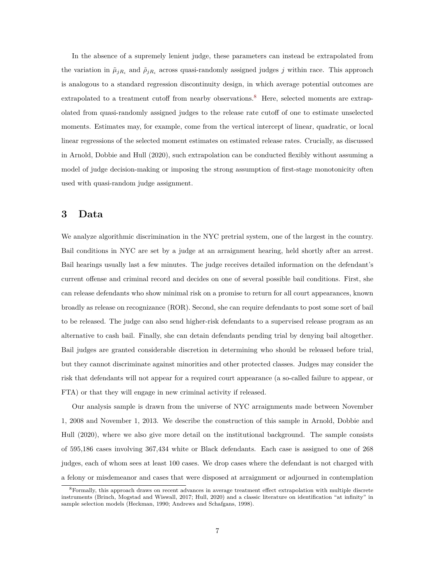In the absence of a supremely lenient judge, these parameters can instead be extrapolated from the variation in  $\tilde{\mu}_{jR_i}$  and  $\tilde{\rho}_{jR_i}$  across quasi-randomly assigned judges *j* within race. This approach is analogous to a standard regression discontinuity design, in which average potential outcomes are extrapolated to a treatment cutoff from nearby observations.<sup>[8](#page-8-1)</sup> Here, selected moments are extrapolated from quasi-randomly assigned judges to the release rate cutoff of one to estimate unselected moments. Estimates may, for example, come from the vertical intercept of linear, quadratic, or local linear regressions of the selected moment estimates on estimated release rates. Crucially, as discussed in [Arnold, Dobbie and Hull](#page-14-3) [\(2020\)](#page-14-3), such extrapolation can be conducted flexibly without assuming a model of judge decision-making or imposing the strong assumption of first-stage monotonicity often used with quasi-random judge assignment.

## <span id="page-8-0"></span>**3 Data**

We analyze algorithmic discrimination in the NYC pretrial system, one of the largest in the country. Bail conditions in NYC are set by a judge at an arraignment hearing, held shortly after an arrest. Bail hearings usually last a few minutes. The judge receives detailed information on the defendant's current offense and criminal record and decides on one of several possible bail conditions. First, she can release defendants who show minimal risk on a promise to return for all court appearances, known broadly as release on recognizance (ROR). Second, she can require defendants to post some sort of bail to be released. The judge can also send higher-risk defendants to a supervised release program as an alternative to cash bail. Finally, she can detain defendants pending trial by denying bail altogether. Bail judges are granted considerable discretion in determining who should be released before trial, but they cannot discriminate against minorities and other protected classes. Judges may consider the risk that defendants will not appear for a required court appearance (a so-called failure to appear, or FTA) or that they will engage in new criminal activity if released.

Our analysis sample is drawn from the universe of NYC arraignments made between November 1, 2008 and November 1, 2013. We describe the construction of this sample in [Arnold, Dobbie and](#page-14-3) [Hull](#page-14-3) [\(2020\)](#page-14-3), where we also give more detail on the institutional background. The sample consists of 595,186 cases involving 367,434 white or Black defendants. Each case is assigned to one of 268 judges, each of whom sees at least 100 cases. We drop cases where the defendant is not charged with a felony or misdemeanor and cases that were disposed at arraignment or adjourned in contemplation

<span id="page-8-1"></span><sup>8</sup>Formally, this approach draws on recent advances in average treatment effect extrapolation with multiple discrete instruments [\(Brinch, Mogstad and Wiswall,](#page-14-8) [2017;](#page-14-8) [Hull,](#page-15-10) [2020\)](#page-15-10) and a classic literature on identification "at infinity" in sample selection models [\(Heckman,](#page-14-12) [1990;](#page-14-12) [Andrews and Schafgans,](#page-14-13) [1998\)](#page-14-13).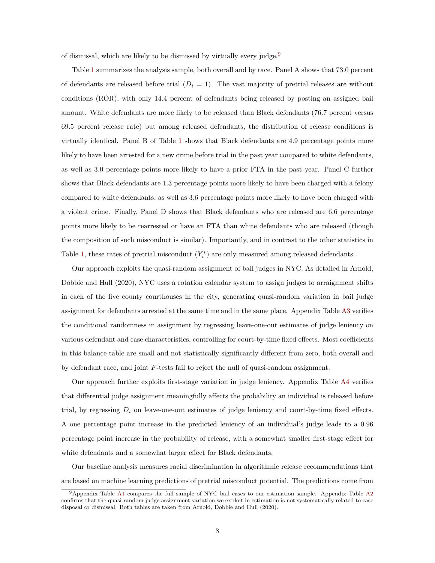of dismissal, which are likely to be dismissed by virtually every judge.<sup>[9](#page-9-0)</sup>

Table [1](#page-19-0) summarizes the analysis sample, both overall and by race. Panel A shows that 73.0 percent of defendants are released before trial  $(D<sub>i</sub> = 1)$ . The vast majority of pretrial releases are without conditions (ROR), with only 14.4 percent of defendants being released by posting an assigned bail amount. White defendants are more likely to be released than Black defendants (76.7 percent versus 69.5 percent release rate) but among released defendants, the distribution of release conditions is virtually identical. Panel B of Table [1](#page-19-0) shows that Black defendants are 4.9 percentage points more likely to have been arrested for a new crime before trial in the past year compared to white defendants, as well as 3.0 percentage points more likely to have a prior FTA in the past year. Panel C further shows that Black defendants are 1.3 percentage points more likely to have been charged with a felony compared to white defendants, as well as 3.6 percentage points more likely to have been charged with a violent crime. Finally, Panel D shows that Black defendants who are released are 6.6 percentage points more likely to be rearrested or have an FTA than white defendants who are released (though the composition of such misconduct is similar). Importantly, and in contrast to the other statistics in Table [1,](#page-19-0) these rates of pretrial misconduct  $(Y_i^*)$  are only measured among released defendants.

Our approach exploits the quasi-random assignment of bail judges in NYC. As detailed in [Arnold,](#page-14-3) [Dobbie and Hull](#page-14-3) [\(2020\)](#page-14-3), NYC uses a rotation calendar system to assign judges to arraignment shifts in each of the five county courthouses in the city, generating quasi-random variation in bail judge assignment for defendants arrested at the same time and in the same place. Appendix Table [A3](#page-30-0) verifies the conditional randomness in assignment by regressing leave-one-out estimates of judge leniency on various defendant and case characteristics, controlling for court-by-time fixed effects. Most coefficients in this balance table are small and not statistically significantly different from zero, both overall and by defendant race, and joint *F*-tests fail to reject the null of quasi-random assignment.

Our approach further exploits first-stage variation in judge leniency. Appendix Table [A4](#page-31-0) verifies that differential judge assignment meaningfully affects the probability an individual is released before trial, by regressing  $D_i$  on leave-one-out estimates of judge leniency and court-by-time fixed effects. A one percentage point increase in the predicted leniency of an individual's judge leads to a 0.96 percentage point increase in the probability of release, with a somewhat smaller first-stage effect for white defendants and a somewhat larger effect for Black defendants.

Our baseline analysis measures racial discrimination in algorithmic release recommendations that are based on machine learning predictions of pretrial misconduct potential. The predictions come from

<span id="page-9-0"></span><sup>9</sup>Appendix Table [A1](#page-28-0) compares the full sample of NYC bail cases to our estimation sample. Appendix Table [A2](#page-29-0) confirms that the quasi-random judge assignment variation we exploit in estimation is not systematically related to case disposal or dismissal. Both tables are taken from [Arnold, Dobbie and Hull](#page-14-3) [\(2020\)](#page-14-3).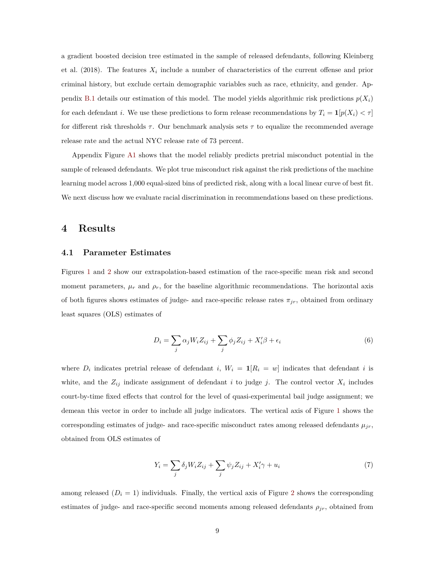a gradient boosted decision tree estimated in the sample of released defendants, following [Kleinberg](#page-15-3) [et al.](#page-15-3) [\(2018\)](#page-15-3). The features *X<sup>i</sup>* include a number of characteristics of the current offense and prior criminal history, but exclude certain demographic variables such as race, ethnicity, and gender. Ap-pendix [B.1](#page-32-0) details our estimation of this model. The model yields algorithmic risk predictions  $p(X_i)$ for each defendant *i*. We use these predictions to form release recommendations by  $T_i = \mathbf{1}[p(X_i) < \tau]$ for different risk thresholds  $\tau$ . Our benchmark analysis sets  $\tau$  to equalize the recommended average release rate and the actual NYC release rate of 73 percent.

Appendix Figure [A1](#page-21-0) shows that the model reliably predicts pretrial misconduct potential in the sample of released defendants. We plot true misconduct risk against the risk predictions of the machine learning model across 1,000 equal-sized bins of predicted risk, along with a local linear curve of best fit. We next discuss how we evaluate racial discrimination in recommendations based on these predictions.

#### <span id="page-10-0"></span>**4 Results**

#### **4.1 Parameter Estimates**

Figures [1](#page-16-0) and [2](#page-17-0) show our extrapolation-based estimation of the race-specific mean risk and second moment parameters,  $\mu_r$  and  $\rho_r$ , for the baseline algorithmic recommendations. The horizontal axis of both figures shows estimates of judge- and race-specific release rates  $\pi_{jr}$ , obtained from ordinary least squares (OLS) estimates of

<span id="page-10-1"></span>
$$
D_i = \sum_j \alpha_j W_i Z_{ij} + \sum_j \phi_j Z_{ij} + X'_i \beta + \epsilon_i
$$
\n(6)

where  $D_i$  indicates pretrial release of defendant *i*,  $W_i = \mathbf{1}[R_i = w]$  indicates that defendant *i* is white, and the  $Z_{ij}$  indicate assignment of defendant *i* to judge *j*. The control vector  $X_i$  includes court-by-time fixed effects that control for the level of quasi-experimental bail judge assignment; we demean this vector in order to include all judge indicators. The vertical axis of Figure [1](#page-16-0) shows the corresponding estimates of judge- and race-specific misconduct rates among released defendants  $\mu_{jr}$ , obtained from OLS estimates of

<span id="page-10-2"></span>
$$
Y_i = \sum_j \delta_j W_i Z_{ij} + \sum_j \psi_j Z_{ij} + X'_i \gamma + u_i \tag{7}
$$

among released  $(D<sub>i</sub> = 1)$  individuals. Finally, the vertical axis of Figure [2](#page-17-0) shows the corresponding estimates of judge- and race-specific second moments among released defendants *ρjr*, obtained from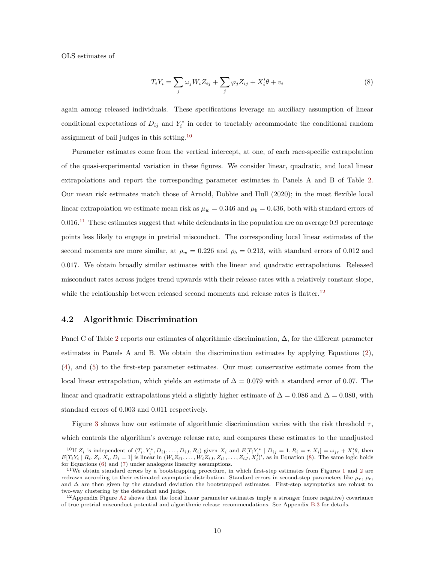OLS estimates of

<span id="page-11-3"></span>
$$
T_i Y_i = \sum_j \omega_j W_i Z_{ij} + \sum_j \varphi_j Z_{ij} + X_i' \theta + v_i \tag{8}
$$

again among released individuals. These specifications leverage an auxiliary assumption of linear conditional expectations of  $D_{ij}$  and  $Y_i^*$  in order to tractably accommodate the conditional random assignment of bail judges in this setting.[10](#page-11-0)

Parameter estimates come from the vertical intercept, at one, of each race-specific extrapolation of the quasi-experimental variation in these figures. We consider linear, quadratic, and local linear extrapolations and report the corresponding parameter estimates in Panels A and B of Table [2.](#page-20-0) Our mean risk estimates match those of [Arnold, Dobbie and Hull](#page-14-3) [\(2020\)](#page-14-3); in the most flexible local linear extrapolation we estimate mean risk as  $\mu_w = 0.346$  and  $\mu_b = 0.436$ , both with standard errors of 0.016.<sup>[11](#page-11-1)</sup> These estimates suggest that white defendants in the population are on average 0.9 percentage points less likely to engage in pretrial misconduct. The corresponding local linear estimates of the second moments are more similar, at  $\rho_w = 0.226$  and  $\rho_b = 0.213$ , with standard errors of 0.012 and 0*.*017. We obtain broadly similar estimates with the linear and quadratic extrapolations. Released misconduct rates across judges trend upwards with their release rates with a relatively constant slope, while the relationship between released second moments and release rates is flatter.<sup>[12](#page-11-2)</sup>

#### **4.2 Algorithmic Discrimination**

Panel C of Table [2](#page-20-0) reports our estimates of algorithmic discrimination, ∆, for the different parameter estimates in Panels A and B. We obtain the discrimination estimates by applying Equations [\(2\)](#page-5-2), [\(4\)](#page-7-1), and [\(5\)](#page-7-2) to the first-step parameter estimates. Our most conservative estimate comes from the local linear extrapolation, which yields an estimate of  $\Delta = 0.079$  with a standard error of 0.07. The linear and quadratic extrapolations yield a slightly higher estimate of  $\Delta = 0.086$  and  $\Delta = 0.080$ , with standard errors of 0.003 and 0.011 respectively.

Figure [3](#page-18-0) shows how our estimate of algorithmic discrimination varies with the risk threshold  $\tau$ , which controls the algorithm's average release rate, and compares these estimates to the unadjusted

<span id="page-11-0"></span><sup>&</sup>lt;sup>10</sup>If  $Z_i$  is independent of  $(T_i, Y_i^*, D_{i1}, \ldots, D_{iJ}, R_i)$  given  $X_i$  and  $E[T_iY_i^* | D_{ij} = 1, R_i = r, X_i] = \omega_{jr} + X_i' \theta$ , then  $E[T_iY_i | R_i, Z_i, X_i, D_i = 1]$  is linear in  $(W_iZ_{i1}, \ldots, W_iZ_{iJ}, Z_{i1}, \ldots, Z_{iJ}, X_i')'$ , as in Equation [\(8\)](#page-11-3). The same logic holds for Equations [\(6\)](#page-10-1) and [\(7\)](#page-10-2) under analogous linearity assumptions.

<span id="page-11-1"></span><sup>&</sup>lt;sup>[1](#page-16-0)1</sup>We obtain standard errors by a bootstrapping procedure, in which first-step estimates from Figures 1 and [2](#page-17-0) are redrawn according to their estimated asymptotic distribution. Standard errors in second-step parameters like  $\mu_r$ ,  $\rho_r$ , and ∆ are then given by the standard deviation the bootstrapped estimates. First-step asymptotics are robust to two-way clustering by the defendant and judge.

<span id="page-11-2"></span><sup>&</sup>lt;sup>12</sup>Appendix Figure [A2](#page-22-0) shows that the local linear parameter estimates imply a stronger (more negative) covariance of true pretrial misconduct potential and algorithmic release recommendations. See Appendix [B.3](#page-33-0) for details.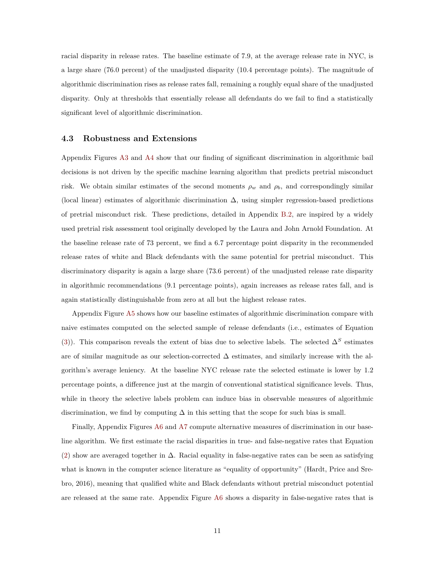racial disparity in release rates. The baseline estimate of 7.9, at the average release rate in NYC, is a large share (76.0 percent) of the unadjusted disparity (10.4 percentage points). The magnitude of algorithmic discrimination rises as release rates fall, remaining a roughly equal share of the unadjusted disparity. Only at thresholds that essentially release all defendants do we fail to find a statistically significant level of algorithmic discrimination.

#### **4.3 Robustness and Extensions**

Appendix Figures [A3](#page-23-0) and [A4](#page-24-0) show that our finding of significant discrimination in algorithmic bail decisions is not driven by the specific machine learning algorithm that predicts pretrial misconduct risk. We obtain similar estimates of the second moments  $\rho_w$  and  $\rho_b$ , and correspondingly similar (local linear) estimates of algorithmic discrimination ∆, using simpler regression-based predictions of pretrial misconduct risk. These predictions, detailed in Appendix [B.2,](#page-32-1) are inspired by a widely used pretrial risk assessment tool originally developed by the Laura and John Arnold Foundation. At the baseline release rate of 73 percent, we find a 6.7 percentage point disparity in the recommended release rates of white and Black defendants with the same potential for pretrial misconduct. This discriminatory disparity is again a large share (73.6 percent) of the unadjusted release rate disparity in algorithmic recommendations (9.1 percentage points), again increases as release rates fall, and is again statistically distinguishable from zero at all but the highest release rates.

Appendix Figure [A5](#page-25-0) shows how our baseline estimates of algorithmic discrimination compare with naive estimates computed on the selected sample of release defendants (i.e., estimates of Equation [\(3\)](#page-6-2)). This comparison reveals the extent of bias due to selective labels. The selected  $\Delta^S$  estimates are of similar magnitude as our selection-corrected ∆ estimates, and similarly increase with the algorithm's average leniency. At the baseline NYC release rate the selected estimate is lower by 1.2 percentage points, a difference just at the margin of conventional statistical significance levels. Thus, while in theory the selective labels problem can induce bias in observable measures of algorithmic discrimination, we find by computing  $\Delta$  in this setting that the scope for such bias is small.

Finally, Appendix Figures [A6](#page-26-0) and [A7](#page-27-0) compute alternative measures of discrimination in our baseline algorithm. We first estimate the racial disparities in true- and false-negative rates that Equation [\(2\)](#page-5-2) show are averaged together in ∆. Racial equality in false-negative rates can be seen as satisfying what is known in the computer science literature as "equality of opportunity" [\(Hardt, Price and Sre](#page-14-6)[bro,](#page-14-6) [2016\)](#page-14-6), meaning that qualified white and Black defendants without pretrial misconduct potential are released at the same rate. Appendix Figure [A6](#page-26-0) shows a disparity in false-negative rates that is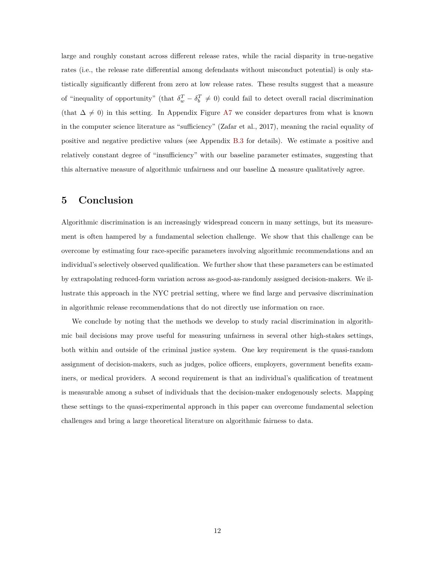large and roughly constant across different release rates, while the racial disparity in true-negative rates (i.e., the release rate differential among defendants without misconduct potential) is only statistically significantly different from zero at low release rates. These results suggest that a measure of "inequality of opportunity" (that  $\delta_w^T - \delta_b^T \neq 0$ ) could fail to detect overall racial discrimination (that  $\Delta \neq 0$ ) in this setting. In Appendix Figure [A7](#page-27-0) we consider departures from what is known in the computer science literature as "sufficiency" [\(Zafar et al.,](#page-15-2) [2017\)](#page-15-2), meaning the racial equality of positive and negative predictive values (see Appendix [B.3](#page-33-0) for details). We estimate a positive and relatively constant degree of "insufficiency" with our baseline parameter estimates, suggesting that this alternative measure of algorithmic unfairness and our baseline  $\Delta$  measure qualitatively agree.

## <span id="page-13-0"></span>**5 Conclusion**

Algorithmic discrimination is an increasingly widespread concern in many settings, but its measurement is often hampered by a fundamental selection challenge. We show that this challenge can be overcome by estimating four race-specific parameters involving algorithmic recommendations and an individual's selectively observed qualification. We further show that these parameters can be estimated by extrapolating reduced-form variation across as-good-as-randomly assigned decision-makers. We illustrate this approach in the NYC pretrial setting, where we find large and pervasive discrimination in algorithmic release recommendations that do not directly use information on race.

We conclude by noting that the methods we develop to study racial discrimination in algorithmic bail decisions may prove useful for measuring unfairness in several other high-stakes settings, both within and outside of the criminal justice system. One key requirement is the quasi-random assignment of decision-makers, such as judges, police officers, employers, government benefits examiners, or medical providers. A second requirement is that an individual's qualification of treatment is measurable among a subset of individuals that the decision-maker endogenously selects. Mapping these settings to the quasi-experimental approach in this paper can overcome fundamental selection challenges and bring a large theoretical literature on algorithmic fairness to data.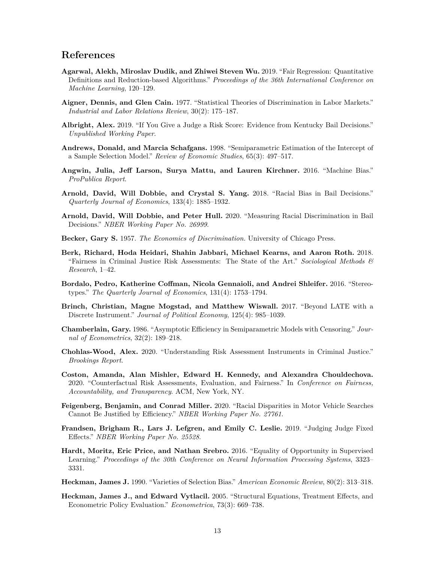## **References**

- <span id="page-14-15"></span>**Agarwal, Alekh, Miroslav Dudik, and Zhiwei Steven Wu.** 2019. "Fair Regression: Quantitative Definitions and Reduction-based Algorithms." *Proceedings of the 36th International Conference on Machine Learning*, 120–129.
- <span id="page-14-14"></span>**Aigner, Dennis, and Glen Cain.** 1977. "Statistical Theories of Discrimination in Labor Markets." *Industrial and Labor Relations Review*, 30(2): 175–187.
- <span id="page-14-7"></span>**Albright, Alex.** 2019. "If You Give a Judge a Risk Score: Evidence from Kentucky Bail Decisions." *Unpublished Working Paper*.
- <span id="page-14-13"></span>**Andrews, Donald, and Marcia Schafgans.** 1998. "Semiparametric Estimation of the Intercept of a Sample Selection Model." *Review of Economic Studies*, 65(3): 497–517.
- <span id="page-14-1"></span>**Angwin, Julia, Jeff Larson, Surya Mattu, and Lauren Kirchner.** 2016. "Machine Bias." *ProPublica Report*.
- <span id="page-14-4"></span>**Arnold, David, Will Dobbie, and Crystal S. Yang.** 2018. "Racial Bias in Bail Decisions." *Quarterly Journal of Economics*, 133(4): 1885–1932.
- <span id="page-14-3"></span>**Arnold, David, Will Dobbie, and Peter Hull.** 2020. "Measuring Racial Discrimination in Bail Decisions." *NBER Working Paper No. 26999*.
- <span id="page-14-16"></span>**Becker, Gary S.** 1957. *The Economics of Discrimination.* University of Chicago Press.
- <span id="page-14-2"></span>**Berk, Richard, Hoda Heidari, Shahin Jabbari, Michael Kearns, and Aaron Roth.** 2018. "Fairness in Criminal Justice Risk Assessments: The State of the Art." *Sociological Methods & Research*, 1–42.
- <span id="page-14-17"></span>**Bordalo, Pedro, Katherine Coffman, Nicola Gennaioli, and Andrei Shleifer.** 2016. "Stereotypes." *The Quarterly Journal of Economics*, 131(4): 1753–1794.
- <span id="page-14-8"></span>**Brinch, Christian, Magne Mogstad, and Matthew Wiswall.** 2017. "Beyond LATE with a Discrete Instrument." *Journal of Political Economy*, 125(4): 985–1039.
- <span id="page-14-11"></span>**Chamberlain, Gary.** 1986. "Asymptotic Efficiency in Semiparametric Models with Censoring." *Journal of Econometrics*, 32(2): 189–218.
- <span id="page-14-0"></span>**Chohlas-Wood, Alex.** 2020. "Understanding Risk Assessment Instruments in Criminal Justice." *Brookings Report*.
- <span id="page-14-18"></span>**Coston, Amanda, Alan Mishler, Edward H. Kennedy, and Alexandra Chouldechova.** 2020. "Counterfactual Risk Assessments, Evaluation, and Fairness." In *Conference on Fairness, Accountability, and Transparency*. ACM, New York, NY.
- <span id="page-14-5"></span>**Feigenberg, Benjamin, and Conrad Miller.** 2020. "Racial Disparities in Motor Vehicle Searches Cannot Be Justified by Efficiency." *NBER Working Paper No. 27761*.
- <span id="page-14-10"></span>**Frandsen, Brigham R., Lars J. Lefgren, and Emily C. Leslie.** 2019. "Judging Judge Fixed Effects." *NBER Working Paper No. 25528*.
- <span id="page-14-6"></span>**Hardt, Moritz, Eric Price, and Nathan Srebro.** 2016. "Equality of Opportunity in Supervised Learning." *Proceedings of the 30th Conference on Neural Information Processing Systems*, 3323– 3331.
- <span id="page-14-12"></span>**Heckman, James J.** 1990. "Varieties of Selection Bias." *American Economic Review*, 80(2): 313–318.
- <span id="page-14-9"></span>**Heckman, James J., and Edward Vytlacil.** 2005. "Structural Equations, Treatment Effects, and Econometric Policy Evaluation." *Econometrica*, 73(3): 669–738.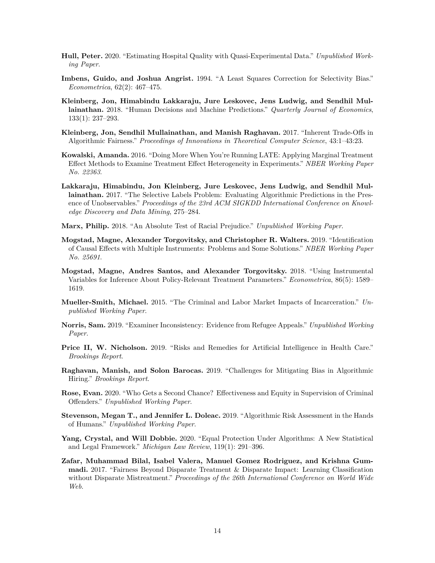- <span id="page-15-10"></span>**Hull, Peter.** 2020. "Estimating Hospital Quality with Quasi-Experimental Data." *Unpublished Working Paper*.
- <span id="page-15-11"></span>**Imbens, Guido, and Joshua Angrist.** 1994. "A Least Squares Correction for Selectivity Bias." *Econometrica*, 62(2): 467–475.
- <span id="page-15-3"></span>**Kleinberg, Jon, Himabindu Lakkaraju, Jure Leskovec, Jens Ludwig, and Sendhil Mullainathan.** 2018. "Human Decisions and Machine Predictions." *Quarterly Journal of Economics*, 133(1): 237–293.
- <span id="page-15-15"></span>**Kleinberg, Jon, Sendhil Mullainathan, and Manish Raghavan.** 2017. "Inherent Trade-Offs in Algorithmic Fairness." *Proceedings of Innovations in Theoretical Computer Science*, 43:1–43:23.
- <span id="page-15-8"></span>**Kowalski, Amanda.** 2016. "Doing More When You're Running LATE: Applying Marginal Treatment Effect Methods to Examine Treatment Effect Heterogeneity in Experiments." *NBER Working Paper No. 22363*.
- <span id="page-15-4"></span>**Lakkaraju, Himabindu, Jon Kleinberg, Jure Leskovec, Jens Ludwig, and Sendhil Mullainathan.** 2017. "The Selective Labels Problem: Evaluating Algorithmic Predictions in the Presence of Unobservables." *Proceedings of the 23rd ACM SIGKDD International Conference on Knowledge Discovery and Data Mining*, 275–284.
- <span id="page-15-5"></span>**Marx, Philip.** 2018. "An Absolute Test of Racial Prejudice." *Unpublished Working Paper*.
- <span id="page-15-12"></span>**Mogstad, Magne, Alexander Torgovitsky, and Christopher R. Walters.** 2019. "Identification of Causal Effects with Multiple Instruments: Problems and Some Solutions." *NBER Working Paper No. 25691*.
- <span id="page-15-9"></span>**Mogstad, Magne, Andres Santos, and Alexander Torgovitsky.** 2018. "Using Instrumental Variables for Inference About Policy-Relevant Treatment Parameters." *Econometrica*, 86(5): 1589– 1619.
- <span id="page-15-13"></span>**Mueller-Smith, Michael.** 2015. "The Criminal and Labor Market Impacts of Incarceration." *Unpublished Working Paper*.
- <span id="page-15-14"></span>**Norris, Sam.** 2019. "Examiner Inconsistency: Evidence from Refugee Appeals." *Unpublished Working Paper*.
- <span id="page-15-1"></span>**Price II, W. Nicholson.** 2019. "Risks and Remedies for Artificial Intelligence in Health Care." *Brookings Report*.
- <span id="page-15-0"></span>**Raghavan, Manish, and Solon Barocas.** 2019. "Challenges for Mitigating Bias in Algorithmic Hiring." *Brookings Report*.
- <span id="page-15-6"></span>**Rose, Evan.** 2020. "Who Gets a Second Chance? Effectiveness and Equity in Supervision of Criminal Offenders." *Unpublished Working Paper*.
- <span id="page-15-7"></span>**Stevenson, Megan T., and Jennifer L. Doleac.** 2019. "Algorithmic Risk Assessment in the Hands of Humans." *Unpublished Working Paper*.
- <span id="page-15-16"></span>**Yang, Crystal, and Will Dobbie.** 2020. "Equal Protection Under Algorithms: A New Statistical and Legal Framework." *Michigan Law Review*, 119(1): 291–396.
- <span id="page-15-2"></span>**Zafar, Muhammad Bilal, Isabel Valera, Manuel Gomez Rodriguez, and Krishna Gummadi.** 2017. "Fairness Beyond Disparate Treatment & Disparate Impact: Learning Classification without Disparate Mistreatment." *Proceedings of the 26th International Conference on World Wide Web*.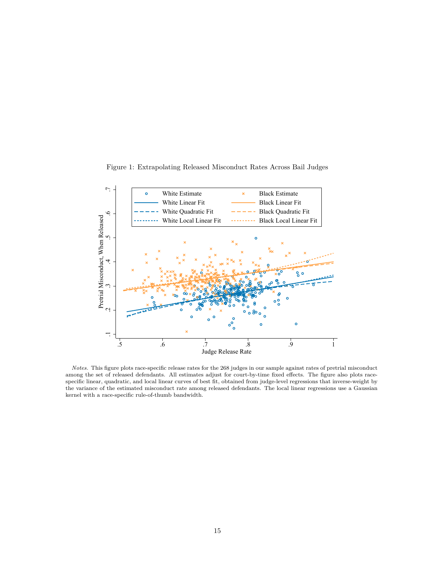Figure 1: Extrapolating Released Misconduct Rates Across Bail Judges

<span id="page-16-0"></span>

*Notes.* This figure plots race-specific release rates for the 268 judges in our sample against rates of pretrial misconduct among the set of released defendants. All estimates adjust for court-by-time fixed effects. The figure also plots racespecific linear, quadratic, and local linear curves of best fit, obtained from judge-level regressions that inverse-weight by the variance of the estimated misconduct rate among released defendants. The local linear regressions use a Gaussian kernel with a race-specific rule-of-thumb bandwidth.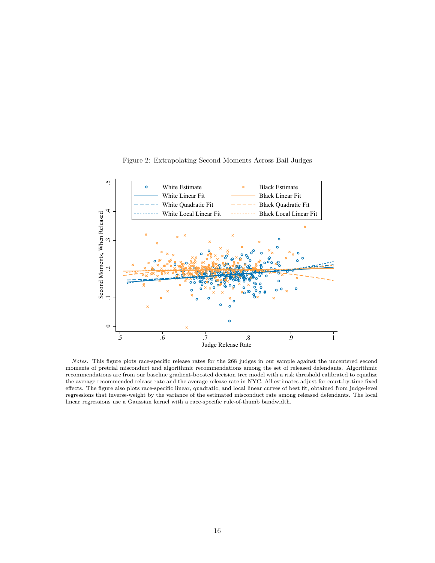

<span id="page-17-0"></span>

*Notes.* This figure plots race-specific release rates for the 268 judges in our sample against the uncentered second moments of pretrial misconduct and algorithmic recommendations among the set of released defendants. Algorithmic recommendations are from our baseline gradient-boosted decision tree model with a risk threshold calibrated to equalize the average recommended release rate and the average release rate in NYC. All estimates adjust for court-by-time fixed effects. The figure also plots race-specific linear, quadratic, and local linear curves of best fit, obtained from judge-level regressions that inverse-weight by the variance of the estimated misconduct rate among released defendants. The local linear regressions use a Gaussian kernel with a race-specific rule-of-thumb bandwidth.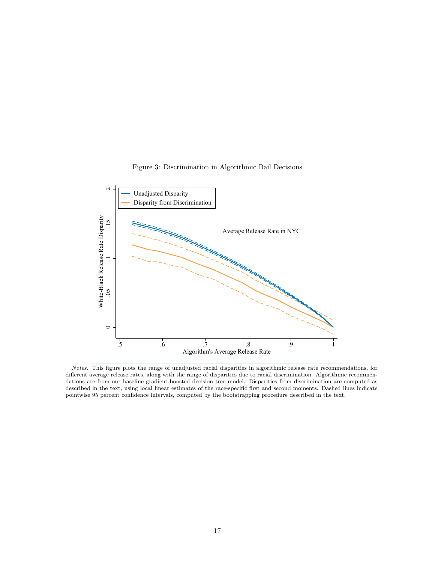<span id="page-18-0"></span>

Figure 3: Discrimination in Algorithmic Bail Decisions

*Notes.* This figure plots the range of unadjusted racial disparities in algorithmic release rate recommendations, for different average release rates, along with the range of disparities due to racial discrimination. Algorithmic recommendations are from our baseline gradient-boosted decision tree model. Disparities from discrimination are computed as described in the text, using local linear estimates of the race-specific first and second moments. Dashed lines indicate pointwise 95 percent confidence intervals, computed by the bootstrapping procedure described in the text.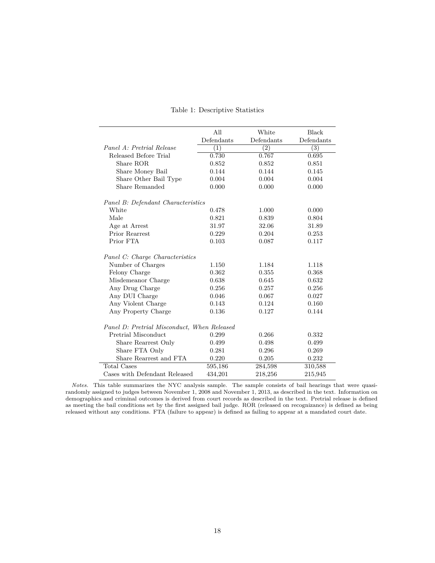<span id="page-19-0"></span>

|                                             | All        | White            | Black            |  |  |  |
|---------------------------------------------|------------|------------------|------------------|--|--|--|
|                                             | Defendants | Defendants       | Defendants       |  |  |  |
| Panel A: Pretrial Release                   | (1)        | $\overline{(2)}$ | $\overline{(3)}$ |  |  |  |
| Released Before Trial                       | 0.730      | 0.767            | 0.695            |  |  |  |
| Share ROR                                   | 0.852      | 0.852            | 0.851            |  |  |  |
| Share Money Bail                            | 0.144      | 0.144            | 0.145            |  |  |  |
| Share Other Bail Type                       | 0.004      | 0.004            | 0.004            |  |  |  |
| Share Remanded                              | 0.000      | 0.000            | 0.000            |  |  |  |
| Panel B: Defendant Characteristics          |            |                  |                  |  |  |  |
| White                                       | 0.478      | 1.000            | 0.000            |  |  |  |
| Male                                        | 0.821      | 0.839            | 0.804            |  |  |  |
| Age at Arrest                               | 31.97      | 32.06            | 31.89            |  |  |  |
| Prior Rearrest                              | 0.229      | 0.204            | 0.253            |  |  |  |
| Prior FTA                                   | 0.103      | 0.087            | 0.117            |  |  |  |
| Panel C: Charge Characteristics             |            |                  |                  |  |  |  |
| Number of Charges                           | 1.150      | 1.184            | 1.118            |  |  |  |
| Felony Charge                               | 0.362      | 0.355            | 0.368            |  |  |  |
| Misdemeanor Charge                          | 0.638      | 0.645            | 0.632            |  |  |  |
| Any Drug Charge                             | 0.256      | 0.257            | 0.256            |  |  |  |
| Any DUI Charge                              | 0.046      | 0.067            | 0.027            |  |  |  |
| Any Violent Charge                          | 0.143      | 0.124            | 0.160            |  |  |  |
| Any Property Charge                         | 0.136      | 0.127            | 0.144            |  |  |  |
| Panel D: Pretrial Misconduct, When Released |            |                  |                  |  |  |  |
| Pretrial Misconduct                         | 0.299      | 0.266            | 0.332            |  |  |  |
| Share Rearrest Only                         | 0.499      | 0.498            | 0.499            |  |  |  |
| Share FTA Only                              | 0.281      | 0.296            | 0.269            |  |  |  |
| Share Rearrest and FTA                      | 0.220      | 0.205            | 0.232            |  |  |  |
| <b>Total Cases</b>                          | 595,186    | 284,598          | 310,588          |  |  |  |
| Cases with Defendant Released               | 434,201    | 218,256          | 215,945          |  |  |  |

#### Table 1: Descriptive Statistics

*Notes.* This table summarizes the NYC analysis sample. The sample consists of bail hearings that were quasirandomly assigned to judges between November 1, 2008 and November 1, 2013, as described in the text. Information on demographics and criminal outcomes is derived from court records as described in the text. Pretrial release is defined as meeting the bail conditions set by the first assigned bail judge. ROR (released on recognizance) is defined as being released without any conditions. FTA (failure to appear) is defined as failing to appear at a mandated court date.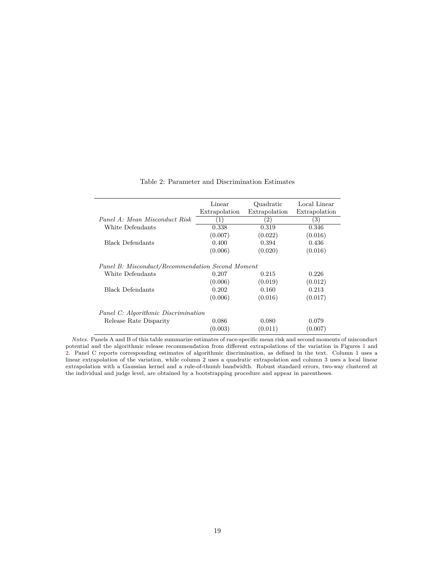<span id="page-20-0"></span>

|                                                  | Linear           | Quadratic        | Local Linear     |  |
|--------------------------------------------------|------------------|------------------|------------------|--|
|                                                  | Extrapolation    | Extrapolation    | Extrapolation    |  |
| Panel A: Mean Misconduct Risk                    | $\left(1\right)$ | (2)              | 3)               |  |
| White Defendants                                 | 0.338            | 0.319            | 0.346            |  |
|                                                  | (0.007)          | (0.022)          | (0.016)          |  |
| <b>Black Defendants</b>                          | 0.400            | 0.394            | 0.436            |  |
|                                                  | (0.006)          | (0.020)          | (0.016)          |  |
| Panel B: Misconduct/Recommendation Second Moment |                  |                  |                  |  |
| White Defendants                                 | 0.207<br>(0.006) | 0.215<br>(0.019) | 0.226<br>(0.012) |  |
| <b>Black Defendants</b>                          | 0.202            | 0.160            | 0.213            |  |
|                                                  | (0.006)          | (0.016)          | (0.017)          |  |
| Panel C: Algorithmic Discrimination              |                  |                  |                  |  |
| Release Rate Disparity                           | 0.086            | 0.080            | 0.079            |  |
|                                                  | (0.003)          | (0.011)          | (0.007)          |  |

#### Table 2: Parameter and Discrimination Estimates

*Notes.* Panels A and B of this table summarize estimates of race-specific mean risk and second moments of misconduct potential and the algorithmic release recommendation from different extrapolations of the variation in Figures [1](#page-16-0) and [2.](#page-17-0) Panel C reports corresponding estimates of algorithmic discrimination, as defined in the text. Column 1 uses a linear extrapolation of the variation, while column 2 uses a quadratic extrapolation and column 3 uses a local linear extrapolation with a Gaussian kernel and a rule-of-thumb bandwidth. Robust standard errors, two-way clustered at the individual and judge level, are obtained by a bootstrapping procedure and appear in parentheses.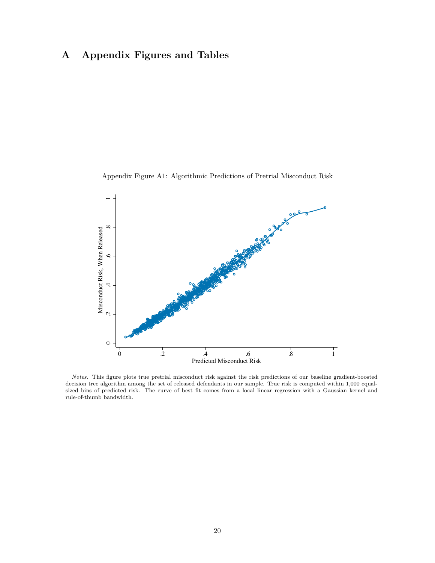# **A Appendix Figures and Tables**

<span id="page-21-0"></span>

Appendix Figure A1: Algorithmic Predictions of Pretrial Misconduct Risk

*Notes.* This figure plots true pretrial misconduct risk against the risk predictions of our baseline gradient-boosted decision tree algorithm among the set of released defendants in our sample. True risk is computed within 1,000 equalsized bins of predicted risk. The curve of best fit comes from a local linear regression with a Gaussian kernel and rule-of-thumb bandwidth.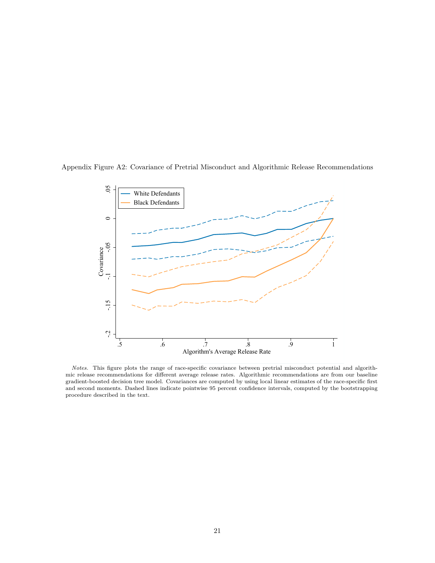

<span id="page-22-0"></span>Appendix Figure A2: Covariance of Pretrial Misconduct and Algorithmic Release Recommendations

*Notes.* This figure plots the range of race-specific covariance between pretrial misconduct potential and algorithmic release recommendations for different average release rates. Algorithmic recommendations are from our baseline gradient-boosted decision tree model. Covariances are computed by using local linear estimates of the race-specific first and second moments. Dashed lines indicate pointwise 95 percent confidence intervals, computed by the bootstrapping procedure described in the text.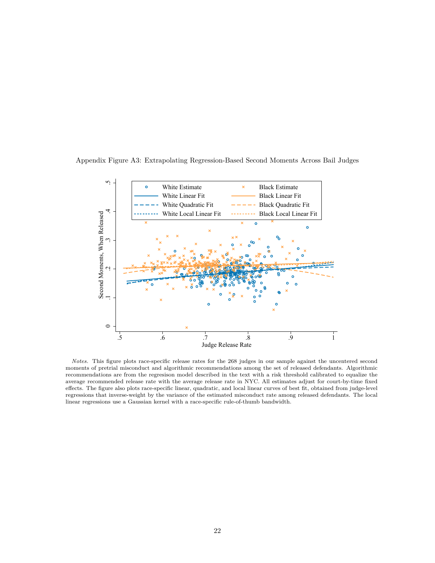<span id="page-23-0"></span>



*Notes.* This figure plots race-specific release rates for the 268 judges in our sample against the uncentered second moments of pretrial misconduct and algorithmic recommendations among the set of released defendants. Algorithmic recommendations are from the regresison model described in the text with a risk threshold calibrated to equalize the average recommended release rate with the average release rate in NYC. All estimates adjust for court-by-time fixed effects. The figure also plots race-specific linear, quadratic, and local linear curves of best fit, obtained from judge-level regressions that inverse-weight by the variance of the estimated misconduct rate among released defendants. The local linear regressions use a Gaussian kernel with a race-specific rule-of-thumb bandwidth.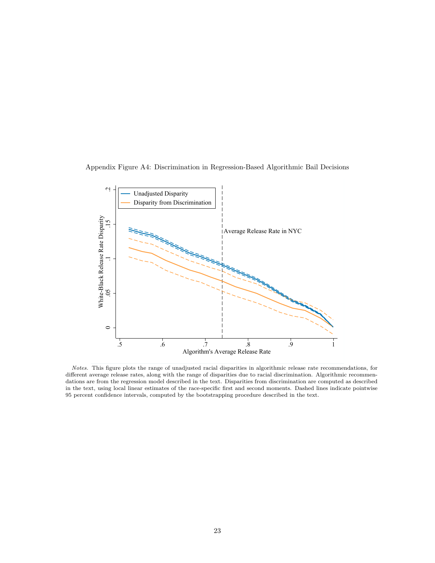<span id="page-24-0"></span>



*Notes.* This figure plots the range of unadjusted racial disparities in algorithmic release rate recommendations, for different average release rates, along with the range of disparities due to racial discrimination. Algorithmic recommendations are from the regression model described in the text. Disparities from discrimination are computed as described in the text, using local linear estimates of the race-specific first and second moments. Dashed lines indicate pointwise 95 percent confidence intervals, computed by the bootstrapping procedure described in the text.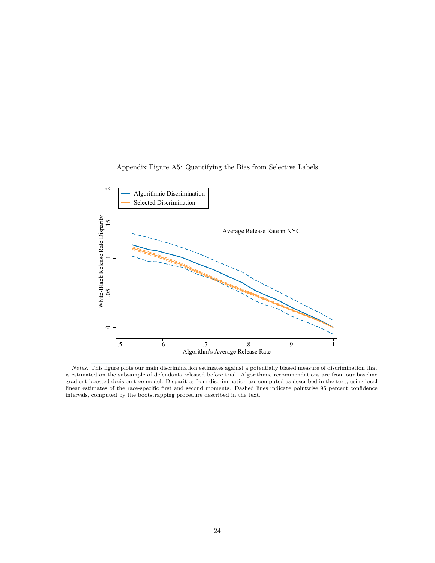<span id="page-25-0"></span>

Appendix Figure A5: Quantifying the Bias from Selective Labels

*Notes.* This figure plots our main discrimination estimates against a potentially biased measure of discrimination that is estimated on the subsample of defendants released before trial. Algorithmic recommendations are from our baseline gradient-boosted decision tree model. Disparities from discrimination are computed as described in the text, using local linear estimates of the race-specific first and second moments. Dashed lines indicate pointwise 95 percent confidence intervals, computed by the bootstrapping procedure described in the text.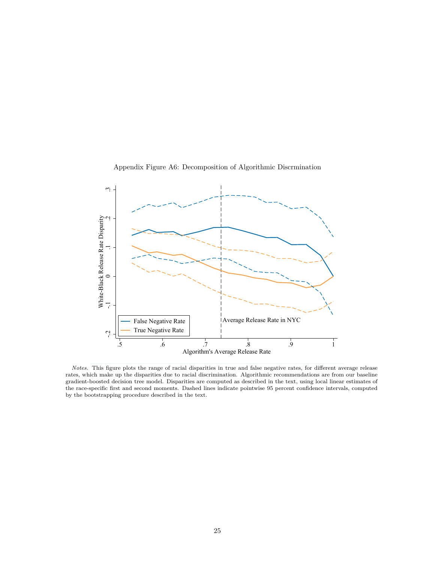<span id="page-26-0"></span>

Appendix Figure A6: Decomposition of Algorithmic Discrmination

*Notes.* This figure plots the range of racial disparities in true and false negative rates, for different average release rates, which make up the disparities due to racial discrimination. Algorithmic recommendations are from our baseline gradient-boosted decision tree model. Disparities are computed as described in the text, using local linear estimates of the race-specific first and second moments. Dashed lines indicate pointwise 95 percent confidence intervals, computed by the bootstrapping procedure described in the text.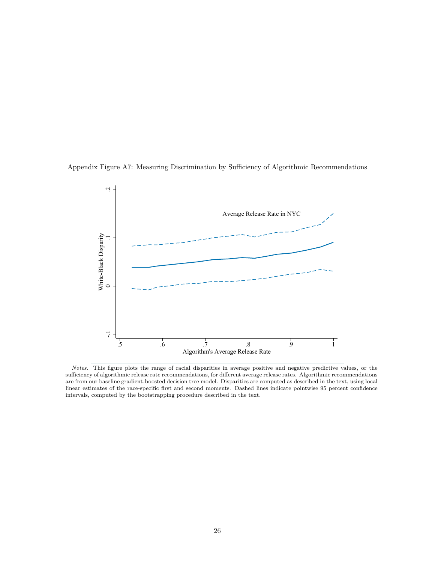

<span id="page-27-0"></span>Appendix Figure A7: Measuring Discrimination by Sufficiency of Algorithmic Recommendations

*Notes.* This figure plots the range of racial disparities in average positive and negative predictive values, or the sufficiency of algorithmic release rate recommendations, for different average release rates. Algorithmic recommendations are from our baseline gradient-boosted decision tree model. Disparities are computed as described in the text, using local linear estimates of the race-specific first and second moments. Dashed lines indicate pointwise 95 percent confidence intervals, computed by the bootstrapping procedure described in the text.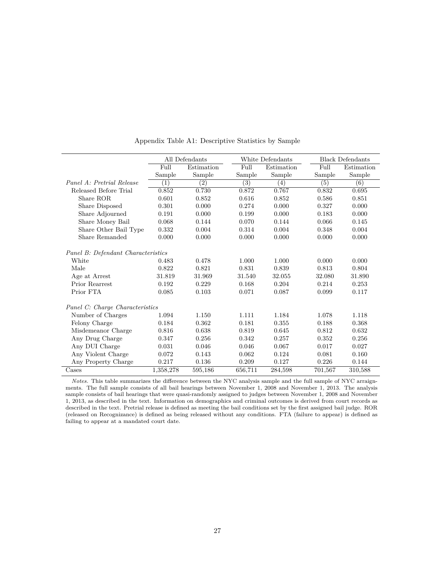<span id="page-28-0"></span>

|                                    |                   | All Defendants   |                  | White Defendants |                  | <b>Black Defendants</b> |
|------------------------------------|-------------------|------------------|------------------|------------------|------------------|-------------------------|
|                                    | Full              | Estimation       | Full             | Estimation       | Full             | Estimation              |
|                                    | Sample            | Sample           | Sample           | Sample           | Sample           | Sample                  |
| Panel A: Pretrial Release          | $\left( 1\right)$ | $\overline{(2)}$ | $\overline{(3)}$ | (4)              | $\overline{(5)}$ | (6)                     |
| Released Before Trial              | 0.852             | 0.730            | 0.872            | 0.767            | 0.832            | 0.695                   |
| Share ROR                          | 0.601             | 0.852            | 0.616            | 0.852            | 0.586            | 0.851                   |
| Share Disposed                     | 0.301             | 0.000            | 0.274            | 0.000            | 0.327            | 0.000                   |
| Share Adjourned                    | 0.191             | 0.000            | 0.199            | 0.000            | 0.183            | 0.000                   |
| Share Money Bail                   | 0.068             | 0.144            | 0.070            | 0.144            | 0.066            | 0.145                   |
| Share Other Bail Type              | 0.332             | 0.004            | 0.314            | 0.004            | 0.348            | 0.004                   |
| Share Remanded                     | 0.000             | 0.000            | 0.000            | 0.000            | 0.000            | 0.000                   |
| Panel B: Defendant Characteristics |                   |                  |                  |                  |                  |                         |
| White                              | 0.483             | 0.478            | 1.000            | 1.000            | 0.000            | 0.000                   |
| Male                               | 0.822             | 0.821            | 0.831            | 0.839            | 0.813            | 0.804                   |
| Age at Arrest                      | 31.819            | 31.969           | 31.540           | 32.055           | 32.080           | 31.890                  |
| Prior Rearrest                     | 0.192             | 0.229            | 0.168            | 0.204            | 0.214            | 0.253                   |
| Prior FTA                          | 0.085             | 0.103            | 0.071            | 0.087            | 0.099            | 0.117                   |
| Panel C: Charge Characteristics    |                   |                  |                  |                  |                  |                         |
| Number of Charges                  | 1.094             | 1.150            | 1.111            | 1.184            | 1.078            | 1.118                   |
| Felony Charge                      | 0.184             | 0.362            | 0.181            | 0.355            | 0.188            | 0.368                   |
| Misdemeanor Charge                 | 0.816             | 0.638            | 0.819            | 0.645            | 0.812            | 0.632                   |
| Any Drug Charge                    | 0.347             | 0.256            | 0.342            | 0.257            | 0.352            | 0.256                   |
| Any DUI Charge                     | 0.031             | 0.046            | 0.046            | 0.067            | 0.017            | 0.027                   |
| Any Violent Charge                 | 0.072             | 0.143            | 0.062            | 0.124            | 0.081            | 0.160                   |
| Any Property Charge                | 0.217             | 0.136            | 0.209            | 0.127            | 0.226            | 0.144                   |
| Cases                              | 1,358,278         | 595,186          | 656,711          | 284,598          | 701,567          | 310,588                 |

Appendix Table A1: Descriptive Statistics by Sample

*Notes.* This table summarizes the difference between the NYC analysis sample and the full sample of NYC arraignments. The full sample consists of all bail hearings between November 1, 2008 and November 1, 2013. The analysis sample consists of bail hearings that were quasi-randomly assigned to judges between November 1, 2008 and November 1, 2013, as described in the text. Information on demographics and criminal outcomes is derived from court records as described in the text. Pretrial release is defined as meeting the bail conditions set by the first assigned bail judge. ROR (released on Recognizance) is defined as being released without any conditions. FTA (failure to appear) is defined as failing to appear at a mandated court date.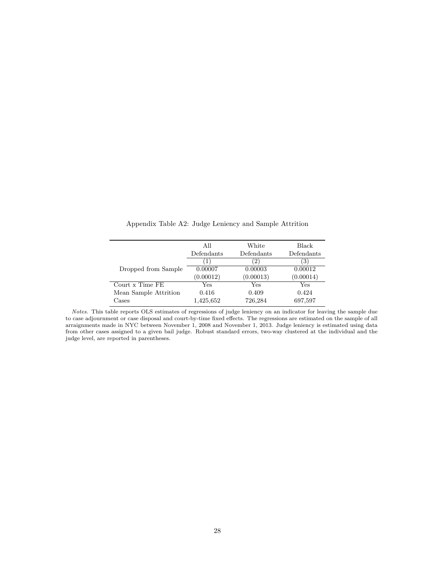<span id="page-29-0"></span>

| All        | White      | Black      |
|------------|------------|------------|
| Defendants | Defendants | Defendants |
| , 1+       | 2)         | 3)         |
| 0.00007    | 0.00003    | 0.00012    |
| (0.00012)  | (0.00013)  | (0.00014)  |
| Yes        | Yes        | Yes        |
| 0.416      | 0.409      | 0.424      |
| 1,425,652  | 726,284    | 697,597    |
|            |            |            |

Appendix Table A2: Judge Leniency and Sample Attrition

*Notes.* This table reports OLS estimates of regressions of judge leniency on an indicator for leaving the sample due to case adjournment or case disposal and court-by-time fixed effects. The regressions are estimated on the sample of all arraignments made in NYC between November 1, 2008 and November 1, 2013. Judge leniency is estimated using data from other cases assigned to a given bail judge. Robust standard errors, two-way clustered at the individual and the judge level, are reported in parentheses.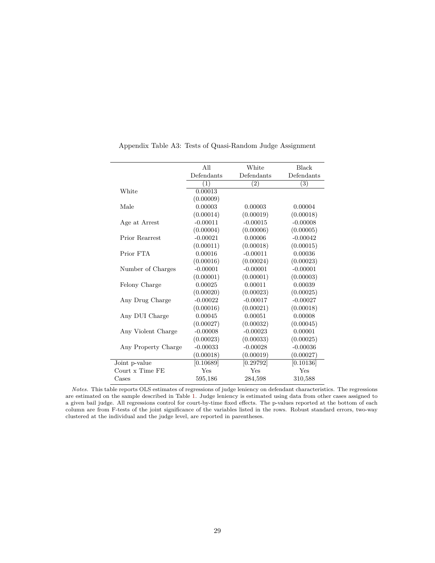<span id="page-30-0"></span>

|                     | All        | White            | <b>Black</b>     |
|---------------------|------------|------------------|------------------|
|                     | Defendants | Defendants       | Defendants       |
|                     | (1)        | $\overline{(2)}$ | $\overline{(3)}$ |
| White               | 0.00013    |                  |                  |
|                     | (0.00009)  |                  |                  |
| Male                | 0.00003    | 0.00003          | 0.00004          |
|                     | (0.00014)  | (0.00019)        | (0.00018)        |
| Age at Arrest       | $-0.00011$ | $-0.00015$       | $-0.00008$       |
|                     | (0.00004)  | (0.00006)        | (0.00005)        |
| Prior Rearrest      | $-0.00021$ | 0.00006          | $-0.00042$       |
|                     | (0.00011)  | (0.00018)        | (0.00015)        |
| Prior FTA           | 0.00016    | $-0.00011$       | 0.00036          |
|                     | (0.00016)  | (0.00024)        | (0.00023)        |
| Number of Charges   | $-0.00001$ | $-0.00001$       | $-0.00001$       |
|                     | (0.00001)  | (0.00001)        | (0.00003)        |
| Felony Charge       | 0.00025    | 0.00011          | 0.00039          |
|                     | (0.00020)  | (0.00023)        | (0.00025)        |
| Any Drug Charge     | $-0.00022$ | $-0.00017$       | $-0.00027$       |
|                     | (0.00016)  | (0.00021)        | (0.00018)        |
| Any DUI Charge      | 0.00045    | 0.00051          | 0.00008          |
|                     | (0.00027)  | (0.00032)        | (0.00045)        |
| Any Violent Charge  | $-0.00008$ | $-0.00023$       | 0.00001          |
|                     | (0.00023)  | (0.00033)        | (0.00025)        |
| Any Property Charge | $-0.00033$ | $-0.00028$       | $-0.00036$       |
|                     | (0.00018)  | (0.00019)        | (0.00027)        |
| Joint p-value       | [0.10689]  | [0.29792]        | [0.10136]        |
| Court x Time FE     | Yes        | Yes              | Yes              |
| Cases               | 595,186    | 284,598          | 310,588          |

Appendix Table A3: Tests of Quasi-Random Judge Assignment

*Notes.* This table reports OLS estimates of regressions of judge leniency on defendant characteristics. The regressions are estimated on the sample described in Table [1.](#page-19-0) Judge leniency is estimated using data from other cases assigned to a given bail judge. All regressions control for court-by-time fixed effects. The p-values reported at the bottom of each column are from F-tests of the joint significance of the variables listed in the rows. Robust standard errors, two-way clustered at the individual and the judge level, are reported in parentheses.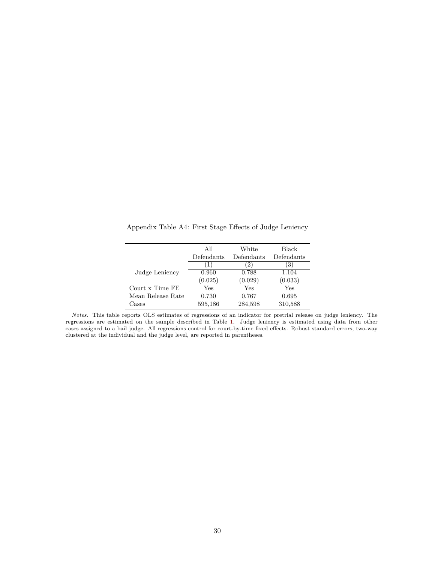|                   | All              | White      | Black      |
|-------------------|------------------|------------|------------|
|                   | Defendants       | Defendants | Defendants |
|                   | $\left(1\right)$ | $^{2)}$    | 3)         |
| Judge Leniency    | 0.960            | 0.788      | 1.104      |
|                   | (0.025)          | (0.029)    | (0.033)    |
| Court x Time FE   | Yes              | Yes        | Yes        |
| Mean Release Rate | 0.730            | 0.767      | 0.695      |
| Cases             | 595,186          | 284,598    | 310,588    |

<span id="page-31-0"></span>Appendix Table A4: First Stage Effects of Judge Leniency

*Notes.* This table reports OLS estimates of regressions of an indicator for pretrial release on judge leniency. The regressions are estimated on the sample described in Table [1.](#page-19-0) Judge leniency is estimated using data from other cases assigned to a bail judge. All regressions control for court-by-time fixed effects. Robust standard errors, two-way clustered at the individual and the judge level, are reported in parentheses.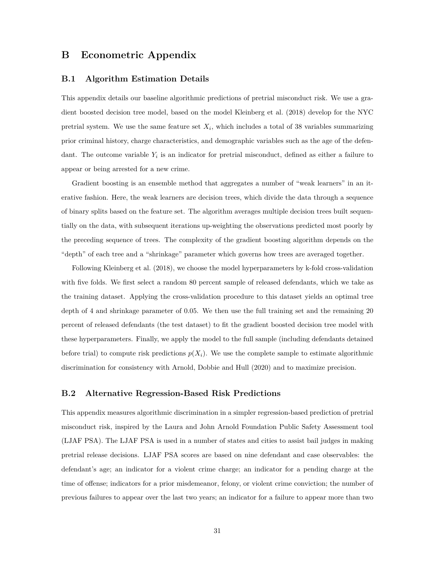### **B Econometric Appendix**

#### <span id="page-32-0"></span>**B.1 Algorithm Estimation Details**

This appendix details our baseline algorithmic predictions of pretrial misconduct risk. We use a gradient boosted decision tree model, based on the model [Kleinberg et al.](#page-15-3) [\(2018\)](#page-15-3) develop for the NYC pretrial system. We use the same feature set  $X_i$ , which includes a total of 38 variables summarizing prior criminal history, charge characteristics, and demographic variables such as the age of the defendant. The outcome variable  $Y_i$  is an indicator for pretrial misconduct, defined as either a failure to appear or being arrested for a new crime.

Gradient boosting is an ensemble method that aggregates a number of "weak learners" in an iterative fashion. Here, the weak learners are decision trees, which divide the data through a sequence of binary splits based on the feature set. The algorithm averages multiple decision trees built sequentially on the data, with subsequent iterations up-weighting the observations predicted most poorly by the preceding sequence of trees. The complexity of the gradient boosting algorithm depends on the "depth" of each tree and a "shrinkage" parameter which governs how trees are averaged together.

Following [Kleinberg et al.](#page-15-3) [\(2018\)](#page-15-3), we choose the model hyperparameters by k-fold cross-validation with five folds. We first select a random 80 percent sample of released defendants, which we take as the training dataset. Applying the cross-validation procedure to this dataset yields an optimal tree depth of 4 and shrinkage parameter of 0.05. We then use the full training set and the remaining 20 percent of released defendants (the test dataset) to fit the gradient boosted decision tree model with these hyperparameters. Finally, we apply the model to the full sample (including defendants detained before trial) to compute risk predictions  $p(X_i)$ . We use the complete sample to estimate algorithmic discrimination for consistency with [Arnold, Dobbie and Hull](#page-14-3) [\(2020\)](#page-14-3) and to maximize precision.

#### <span id="page-32-1"></span>**B.2 Alternative Regression-Based Risk Predictions**

This appendix measures algorithmic discrimination in a simpler regression-based prediction of pretrial misconduct risk, inspired by the Laura and John Arnold Foundation Public Safety Assessment tool (LJAF PSA). The LJAF PSA is used in a number of states and cities to assist bail judges in making pretrial release decisions. LJAF PSA scores are based on nine defendant and case observables: the defendant's age; an indicator for a violent crime charge; an indicator for a pending charge at the time of offense; indicators for a prior misdemeanor, felony, or violent crime conviction; the number of previous failures to appear over the last two years; an indicator for a failure to appear more than two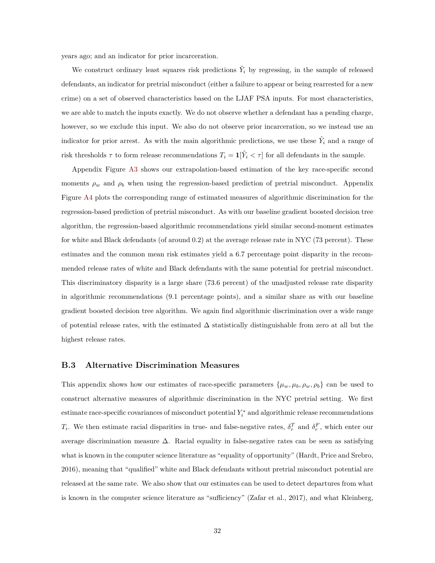years ago; and an indicator for prior incarceration.

We construct ordinary least squares risk predictions  $\hat{Y}_i$  by regressing, in the sample of released defendants, an indicator for pretrial misconduct (either a failure to appear or being rearrested for a new crime) on a set of observed characteristics based on the LJAF PSA inputs. For most characteristics, we are able to match the inputs exactly. We do not observe whether a defendant has a pending charge, however, so we exclude this input. We also do not observe prior incarceration, so we instead use an indicator for prior arrest. As with the main algorithmic predictions, we use these  $\hat{Y}_i$  and a range of risk thresholds  $\tau$  to form release recommendations  $T_i = \mathbf{1}[\hat{Y}_i \leq \tau]$  for all defendants in the sample.

Appendix Figure [A3](#page-23-0) shows our extrapolation-based estimation of the key race-specific second moments  $\rho_w$  and  $\rho_b$  when using the regression-based prediction of pretrial misconduct. Appendix Figure [A4](#page-24-0) plots the corresponding range of estimated measures of algorithmic discrimination for the regression-based prediction of pretrial misconduct. As with our baseline gradient boosted decision tree algorithm, the regression-based algorithmic recommendations yield similar second-moment estimates for white and Black defendants (of around 0.2) at the average release rate in NYC (73 percent). These estimates and the common mean risk estimates yield a 6.7 percentage point disparity in the recommended release rates of white and Black defendants with the same potential for pretrial misconduct. This discriminatory disparity is a large share (73.6 percent) of the unadjusted release rate disparity in algorithmic recommendations (9.1 percentage points), and a similar share as with our baseline gradient boosted decision tree algorithm. We again find algorithmic discrimination over a wide range of potential release rates, with the estimated ∆ statistically distinguishable from zero at all but the highest release rates.

#### <span id="page-33-0"></span>**B.3 Alternative Discrimination Measures**

This appendix shows how our estimates of race-specific parameters  $\{\mu_w, \mu_b, \rho_w, \rho_b\}$  can be used to construct alternative measures of algorithmic discrimination in the NYC pretrial setting. We first  $\epsilon$  restimate race-specific covariances of misconduct potential  $Y_i^*$  and algorithmic release recommendations *T*<sub>*i*</sub>. We then estimate racial disparities in true- and false-negative rates,  $\delta_r^T$  and  $\delta_r^F$ , which enter our average discrimination measure ∆. Racial equality in false-negative rates can be seen as satisfying what is known in the computer science literature as "equality of opportunity" [\(Hardt, Price and Srebro,](#page-14-6) [2016\)](#page-14-6), meaning that "qualified" white and Black defendants without pretrial misconduct potential are released at the same rate. We also show that our estimates can be used to detect departures from what is known in the computer science literature as "sufficiency" [\(Zafar et al.,](#page-15-2) [2017\)](#page-15-2), and what [Kleinberg,](#page-15-15)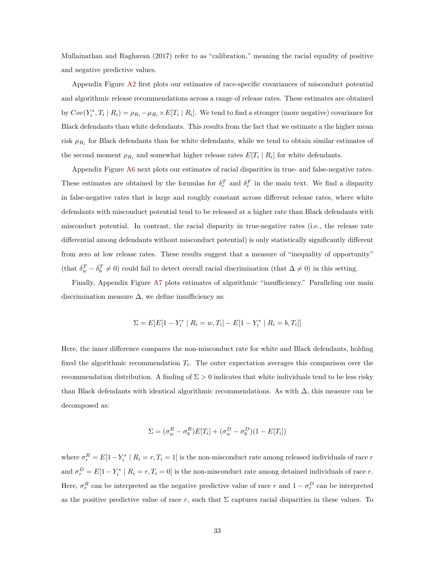[Mullainathan and Raghavan](#page-15-15) [\(2017\)](#page-15-15) refer to as "calibration," meaning the racial equality of positive and negative predictive values.

Appendix Figure [A2](#page-22-0) first plots our estimates of race-specific covariances of misconduct potential and algorithmic release recommendations across a range of release rates. These estimates are obtained by  $Cov(Y_i^*, T_i | R_i) = \rho_{R_i} - \mu_{R_i} \times E[T_i | R_i]$ . We tend to find a stronger (more negative) covariance for Black defendants than white defendants. This results from the fact that we estimate a the higher mean risk  $\mu_{R_i}$  for Black defendants than for white defendants, while we tend to obtain similar estimates of the second moment  $\rho_{R_i}$  and somewhat higher release rates  $E[T_i | R_i]$  for white defendants.

Appendix Figure [A6](#page-26-0) next plots our estimates of racial disparities in true- and false-negative rates. These estimates are obtained by the formulas for  $\delta_r^T$  and  $\delta_r^F$  in the main text. We find a disparity in false-negative rates that is large and roughly constant across different release rates, where white defendants with misconduct potential tend to be released at a higher rate than Black defendants with misconduct potential. In contrast, the racial disparity in true-negative rates (i.e., the release rate differential among defendants without misconduct potential) is only statistically significantly different from zero at low release rates. These results suggest that a measure of "inequality of opportunity" (that  $\delta_w^T - \delta_b^T \neq 0$ ) could fail to detect overall racial discrimination (that  $\Delta \neq 0$ ) in this setting.

Finally, Appendix Figure [A7](#page-27-0) plots estimates of algorithmic "insufficiency." Paralleling our main discrimination measure  $\Delta$ , we define insufficiency as:

$$
\Sigma = E[E[1 - Y_i^* \mid R_i = w, T_i] - E[1 - Y_i^* \mid R_i = b, T_i]]
$$

Here, the inner difference compares the non-misconduct rate for white and Black defendants, holding fixed the algorithmic recommendation  $T_i$ . The outer expectation averages this comparison over the recommendation distribution. A finding of  $\Sigma > 0$  indicates that white individuals tend to be less risky than Black defendants with identical algorithmic recommendations. As with  $\Delta$ , this measure can be decomposed as:

$$
\Sigma = (\sigma_w^R - \sigma_b^R)E[T_i] + (\sigma_w^D - \sigma_b^D)(1 - E[T_i])
$$

where  $\sigma_r^R = E[1 - Y_i^* \mid R_i = r, T_i = 1]$  is the non-misconduct rate among released individuals of race *r* and  $\sigma_r^D = E[1 - Y_i^* \mid R_i = r, T_i = 0]$  is the non-misconduct rate among detained individuals of race *r*. Here,  $\sigma_r^R$  can be interpreted as the negative predictive value of race *r* and  $1 - \sigma_r^D$  can be interpreted as the positive predictive value of race  $r$ , such that  $\Sigma$  captures racial disparities in these values. To